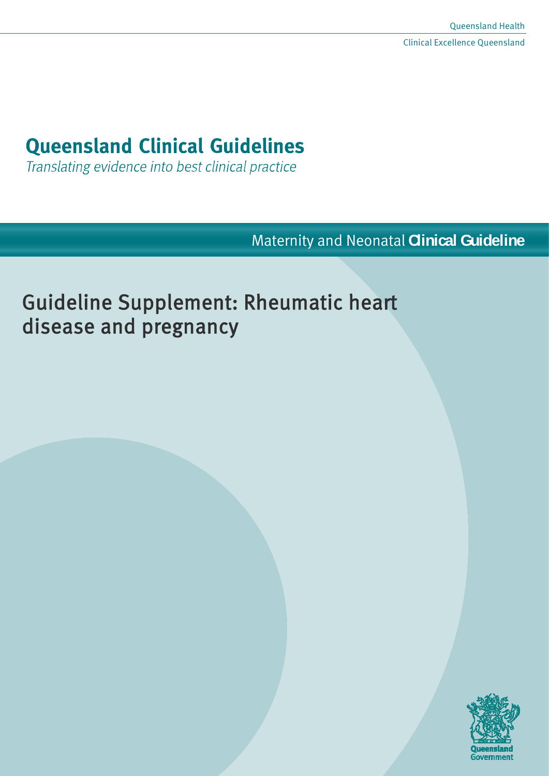# **Queensland Clinical Guidelines**

Translating evidence into best clinical practice

Maternity and Neonatal **Clinical Guideline**

# Guideline Supplement: Rheumatic heart disease and pregnancy

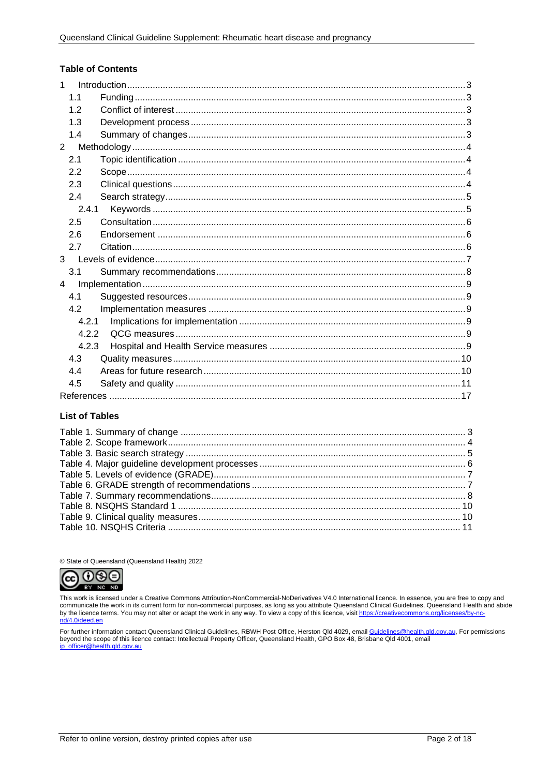#### **Table of Contents**

| $\mathbf{1}$   |                |  |  |  |
|----------------|----------------|--|--|--|
|                | 1 <sub>1</sub> |  |  |  |
|                | 1.2            |  |  |  |
|                | 1.3            |  |  |  |
|                | 1.4            |  |  |  |
| $\overline{2}$ |                |  |  |  |
|                | 2.1            |  |  |  |
|                | 2.2            |  |  |  |
|                | 2.3            |  |  |  |
|                | 2.4            |  |  |  |
|                | 2.4.1          |  |  |  |
|                | 2.5            |  |  |  |
|                | 2.6            |  |  |  |
|                | 2.7            |  |  |  |
| $\mathbf{3}$   |                |  |  |  |
|                | 3.1            |  |  |  |
| $\overline{4}$ |                |  |  |  |
|                | 4.1            |  |  |  |
|                | 4.2            |  |  |  |
| 4.2.1<br>4.2.2 |                |  |  |  |
|                |                |  |  |  |
|                | 4.2.3          |  |  |  |
|                | 4.3            |  |  |  |
|                | 4.4            |  |  |  |
|                | 4.5            |  |  |  |
|                |                |  |  |  |

#### **List of Tables**

© State of Queensland (Queensland Health) 2022



This work is licensed under a Creative Commons Attribution-NonCommercial-NoDerivatives V4.0 International licence. In essence, you are free to copy and communicate the work in its current form for non-commercial purposes, as long as you attribute Queensland Clinical Guidelines, in essence, we are to communicate the work in its current form for non-commercial purposes, as nd/4.0/deed.en

For further information contact Queensland Clinical Guidelines, RBWH Post Office, Herston Qld 4029, email Guidelines@health.qld.gov.au, For permissions beyond the scope of this licence contact: Intellectual Property Officer, Queensland Health, GPO Box 48, Brisbane Qld 4001, email ip\_officer@health.qld.gov.au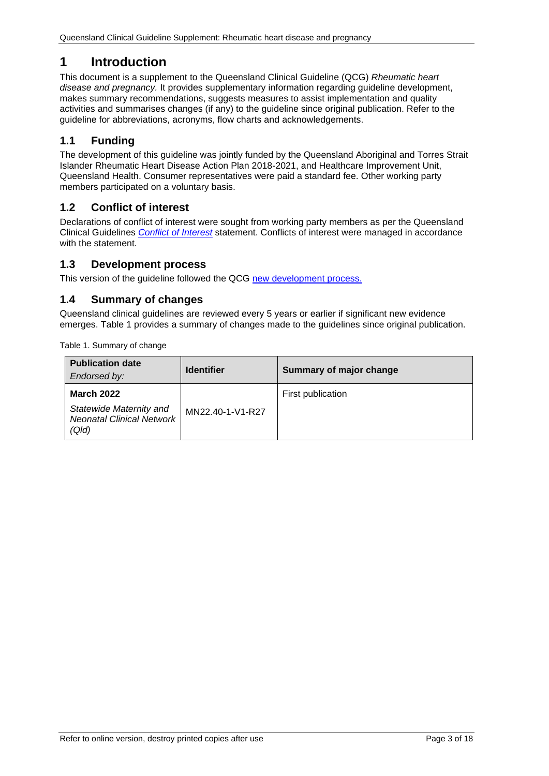# <span id="page-2-0"></span>**1 Introduction**

This document is a supplement to the Queensland Clinical Guideline (QCG) *Rheumatic heart disease and pregnancy.* It provides supplementary information regarding guideline development, makes summary recommendations, suggests measures to assist implementation and quality activities and summarises changes (if any) to the guideline since original publication. Refer to the guideline for abbreviations, acronyms, flow charts and acknowledgements.

## <span id="page-2-1"></span>**1.1 Funding**

The development of this guideline was jointly funded by the Queensland Aboriginal and Torres Strait Islander Rheumatic Heart Disease Action Plan 2018-2021, and Healthcare Improvement Unit, Queensland Health. Consumer representatives were paid a standard fee. Other working party members participated on a voluntary basis.

## <span id="page-2-2"></span>**1.2 Conflict of interest**

Declarations of conflict of interest were sought from working party members as per the Queensland Clinical Guidelines *[Conflict of Interest](http://www.health.qld.gov.au/qcg/development#coi)* statement. Conflicts of interest were managed in accordance with the statement.

## <span id="page-2-3"></span>**1.3 Development process**

<span id="page-2-4"></span>This version of the guideline followed the QCG [new development process.](https://www.health.qld.gov.au/__data/assets/pdf_file/0025/364723/o-developprocess.pdf)

## **1.4 Summary of changes**

Queensland clinical guidelines are reviewed every 5 years or earlier if significant new evidence emerges. [Table 1](#page-2-5) provides a summary of changes made to the guidelines since original publication.

<span id="page-2-5"></span>Table 1. Summary of change

| <b>Publication date</b><br>Endorsed by:                                                   | <b>Identifier</b> | Summary of major change |
|-------------------------------------------------------------------------------------------|-------------------|-------------------------|
| <b>March 2022</b><br>Statewide Maternity and<br><b>Neonatal Clinical Network</b><br>(Q/d) | MN22.40-1-V1-R27  | First publication       |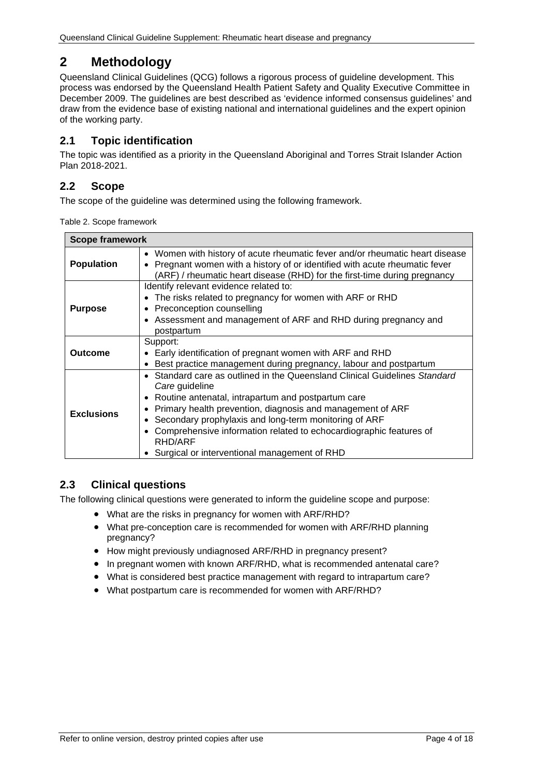# <span id="page-3-0"></span>**2 Methodology**

Queensland Clinical Guidelines (QCG) follows a rigorous process of guideline development. This process was endorsed by the Queensland Health Patient Safety and Quality Executive Committee in December 2009. The guidelines are best described as 'evidence informed consensus guidelines' and draw from the evidence base of existing national and international guidelines and the expert opinion of the working party.

## <span id="page-3-1"></span>**2.1 Topic identification**

The topic was identified as a priority in the Queensland Aboriginal and Torres Strait Islander Action Plan 2018-2021.

## <span id="page-3-2"></span>**2.2 Scope**

The scope of the guideline was determined using the following framework.

<span id="page-3-4"></span>

| <b>Scope framework</b> |                                                                                                                                                                                                                                                                                                                                                                                                          |  |
|------------------------|----------------------------------------------------------------------------------------------------------------------------------------------------------------------------------------------------------------------------------------------------------------------------------------------------------------------------------------------------------------------------------------------------------|--|
| <b>Population</b>      | • Women with history of acute rheumatic fever and/or rheumatic heart disease<br>Pregnant women with a history of or identified with acute rheumatic fever<br>(ARF) / rheumatic heart disease (RHD) for the first-time during pregnancy                                                                                                                                                                   |  |
| <b>Purpose</b>         | Identify relevant evidence related to:<br>• The risks related to pregnancy for women with ARF or RHD<br>Preconception counselling<br>• Assessment and management of ARF and RHD during pregnancy and<br>postpartum                                                                                                                                                                                       |  |
| <b>Outcome</b>         | Support:<br>Early identification of pregnant women with ARF and RHD<br>Best practice management during pregnancy, labour and postpartum                                                                                                                                                                                                                                                                  |  |
| <b>Exclusions</b>      | Standard care as outlined in the Queensland Clinical Guidelines Standard<br>Care guideline<br>Routine antenatal, intrapartum and postpartum care<br>Primary health prevention, diagnosis and management of ARF<br>Secondary prophylaxis and long-term monitoring of ARF<br>Comprehensive information related to echocardiographic features of<br>RHD/ARF<br>Surgical or interventional management of RHD |  |

## <span id="page-3-3"></span>**2.3 Clinical questions**

The following clinical questions were generated to inform the guideline scope and purpose:

- What are the risks in pregnancy for women with ARF/RHD?
- What pre-conception care is recommended for women with ARF/RHD planning pregnancy?
- How might previously undiagnosed ARF/RHD in pregnancy present?
- In pregnant women with known ARF/RHD, what is recommended antenatal care?
- What is considered best practice management with regard to intrapartum care?
- What postpartum care is recommended for women with ARF/RHD?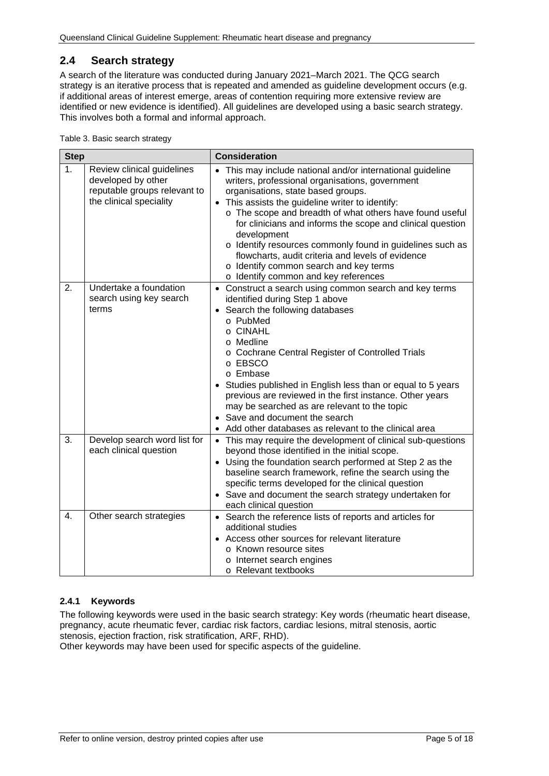## <span id="page-4-0"></span>**2.4 Search strategy**

A search of the literature was conducted during January 2021–March 2021. The QCG search strategy is an iterative process that is repeated and amended as guideline development occurs (e.g. if additional areas of interest emerge, areas of contention requiring more extensive review are identified or new evidence is identified). All guidelines are developed using a basic search strategy. This involves both a formal and informal approach.

<span id="page-4-2"></span>

| <b>Step</b> |                                                                                                             | <b>Consideration</b>                                                                                                                                                                                                                                                                                                                                                                                                                                                                                                                                 |  |
|-------------|-------------------------------------------------------------------------------------------------------------|------------------------------------------------------------------------------------------------------------------------------------------------------------------------------------------------------------------------------------------------------------------------------------------------------------------------------------------------------------------------------------------------------------------------------------------------------------------------------------------------------------------------------------------------------|--|
| 1.          | Review clinical guidelines<br>developed by other<br>reputable groups relevant to<br>the clinical speciality | • This may include national and/or international guideline<br>writers, professional organisations, government<br>organisations, state based groups.<br>• This assists the guideline writer to identify:<br>o The scope and breadth of what others have found useful<br>for clinicians and informs the scope and clinical question<br>development<br>o Identify resources commonly found in guidelines such as<br>flowcharts, audit criteria and levels of evidence<br>o Identify common search and key terms<br>o Identify common and key references |  |
| 2.          | Undertake a foundation<br>search using key search<br>terms                                                  | • Construct a search using common search and key terms<br>identified during Step 1 above<br>• Search the following databases<br>o PubMed<br>o CINAHL<br>o Medline<br>o Cochrane Central Register of Controlled Trials<br>o EBSCO<br>o Embase<br>Studies published in English less than or equal to 5 years<br>previous are reviewed in the first instance. Other years<br>may be searched as are relevant to the topic<br>• Save and document the search<br>Add other databases as relevant to the clinical area                                     |  |
| 3.          | Develop search word list for<br>each clinical question                                                      | • This may require the development of clinical sub-questions<br>beyond those identified in the initial scope.<br>• Using the foundation search performed at Step 2 as the<br>baseline search framework, refine the search using the<br>specific terms developed for the clinical question<br>• Save and document the search strategy undertaken for<br>each clinical question                                                                                                                                                                        |  |
| 4.          | Other search strategies                                                                                     | • Search the reference lists of reports and articles for<br>additional studies<br>• Access other sources for relevant literature<br>o Known resource sites<br>o Internet search engines<br>o Relevant textbooks                                                                                                                                                                                                                                                                                                                                      |  |

#### <span id="page-4-1"></span>**2.4.1 Keywords**

The following keywords were used in the basic search strategy: Key words (rheumatic heart disease, pregnancy, acute rheumatic fever, cardiac risk factors, cardiac lesions, mitral stenosis, aortic stenosis, ejection fraction, risk stratification, ARF, RHD).

Other keywords may have been used for specific aspects of the guideline.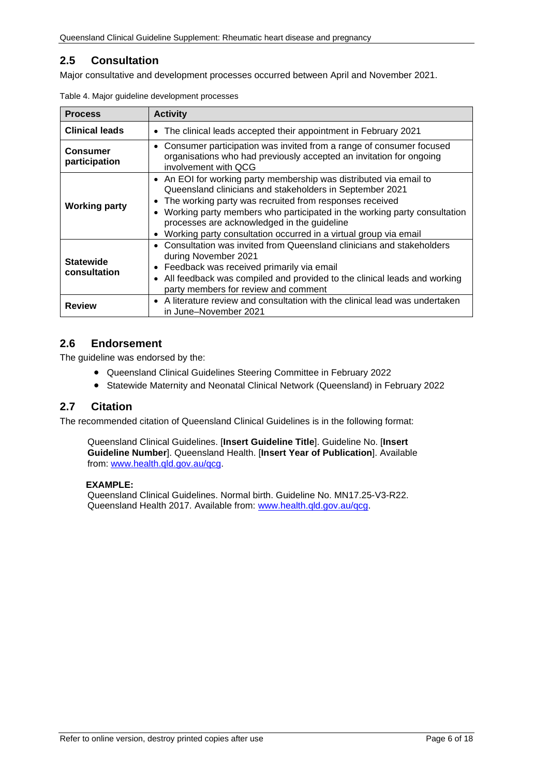## <span id="page-5-0"></span>**2.5 Consultation**

<span id="page-5-3"></span>Major consultative and development processes occurred between April and November 2021.

| <b>Process</b>                   | <b>Activity</b>                                                                                                                                                                                                                                                                                                                                                                                       |  |  |
|----------------------------------|-------------------------------------------------------------------------------------------------------------------------------------------------------------------------------------------------------------------------------------------------------------------------------------------------------------------------------------------------------------------------------------------------------|--|--|
| <b>Clinical leads</b>            | The clinical leads accepted their appointment in February 2021<br>$\bullet$                                                                                                                                                                                                                                                                                                                           |  |  |
| <b>Consumer</b><br>participation | • Consumer participation was invited from a range of consumer focused<br>organisations who had previously accepted an invitation for ongoing<br>involvement with QCG                                                                                                                                                                                                                                  |  |  |
| <b>Working party</b>             | • An EOI for working party membership was distributed via email to<br>Queensland clinicians and stakeholders in September 2021<br>The working party was recruited from responses received<br>$\bullet$<br>Working party members who participated in the working party consultation<br>processes are acknowledged in the guideline<br>Working party consultation occurred in a virtual group via email |  |  |
| <b>Statewide</b><br>consultation | Consultation was invited from Queensland clinicians and stakeholders<br>during November 2021<br>Feedback was received primarily via email<br>$\bullet$<br>All feedback was compiled and provided to the clinical leads and working<br>$\bullet$<br>party members for review and comment                                                                                                               |  |  |
| <b>Review</b>                    | • A literature review and consultation with the clinical lead was undertaken<br>in June-November 2021                                                                                                                                                                                                                                                                                                 |  |  |

Table 4. Major guideline development processes

## <span id="page-5-1"></span>**2.6 Endorsement**

The guideline was endorsed by the:

- Queensland Clinical Guidelines Steering Committee in February 2022
- Statewide Maternity and Neonatal Clinical Network (Queensland) in February 2022

#### <span id="page-5-2"></span>**2.7 Citation**

The recommended citation of Queensland Clinical Guidelines is in the following format:

Queensland Clinical Guidelines. [**Insert Guideline Title**]. Guideline No. [**Insert Guideline Number**]. Queensland Health. [**Insert Year of Publication**]. Available from: [www.health.qld.gov.au/qcg.](http://www.health.qld.gov.au/qcg)

#### **EXAMPLE:**

Queensland Clinical Guidelines. Normal birth. Guideline No. MN17.25-V3-R22. Queensland Health 2017. Available from: [www.health.qld.gov.au/qcg.](http://www.health.qld.gov.au/qcg)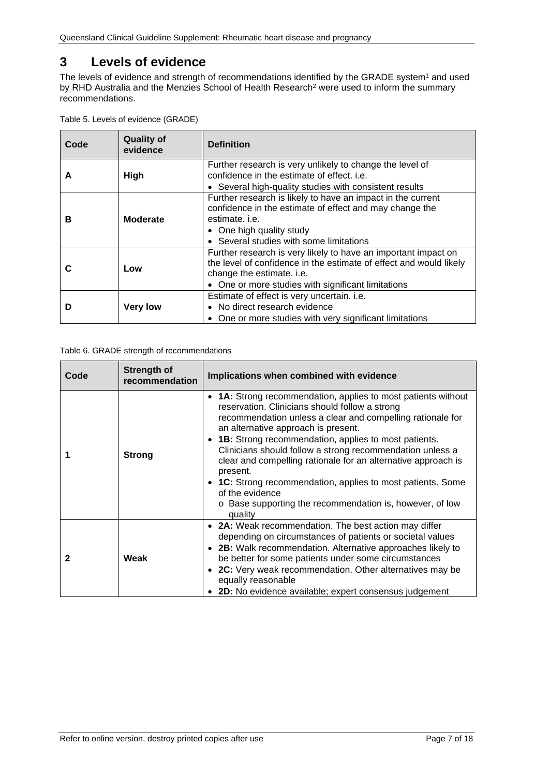# <span id="page-6-0"></span>**3 Levels of evidence**

The levels of evidence and strength of recommendations identified by the GRADE system<sup>1</sup> and used by RHD Australia and the Menzies School of Health Research2 were used to inform the summary recommendations.

<span id="page-6-1"></span>

| Table 5. Levels of evidence (GRADE) |  |
|-------------------------------------|--|
|-------------------------------------|--|

| Code                 | <b>Quality of</b><br>evidence | <b>Definition</b>                                                                                                                                                                                                       |
|----------------------|-------------------------------|-------------------------------------------------------------------------------------------------------------------------------------------------------------------------------------------------------------------------|
| A                    | <b>High</b>                   | Further research is very unlikely to change the level of<br>confidence in the estimate of effect, i.e.                                                                                                                  |
|                      |                               | • Several high-quality studies with consistent results                                                                                                                                                                  |
| <b>Moderate</b><br>в |                               | Further research is likely to have an impact in the current<br>confidence in the estimate of effect and may change the<br>estimate, <i>i.e.</i><br>• One high quality study                                             |
|                      |                               | • Several studies with some limitations                                                                                                                                                                                 |
| С                    | Low                           | Further research is very likely to have an important impact on<br>the level of confidence in the estimate of effect and would likely<br>change the estimate. i.e.<br>• One or more studies with significant limitations |
| D                    | <b>Very low</b>               | Estimate of effect is very uncertain. i.e.<br>• No direct research evidence<br>• One or more studies with very significant limitations                                                                                  |

#### <span id="page-6-2"></span>Table 6. GRADE strength of recommendations

| Code         | <b>Strength of</b><br>recommendation | Implications when combined with evidence                                                                                                                                                                                                                                                                                                                                                                                                                                                                                                                                          |
|--------------|--------------------------------------|-----------------------------------------------------------------------------------------------------------------------------------------------------------------------------------------------------------------------------------------------------------------------------------------------------------------------------------------------------------------------------------------------------------------------------------------------------------------------------------------------------------------------------------------------------------------------------------|
| 1            | <b>Strong</b>                        | • 1A: Strong recommendation, applies to most patients without<br>reservation. Clinicians should follow a strong<br>recommendation unless a clear and compelling rationale for<br>an alternative approach is present.<br>• 1B: Strong recommendation, applies to most patients.<br>Clinicians should follow a strong recommendation unless a<br>clear and compelling rationale for an alternative approach is<br>present.<br>• 1C: Strong recommendation, applies to most patients. Some<br>of the evidence<br>o Base supporting the recommendation is, however, of low<br>quality |
| $\mathbf{2}$ | Weak                                 | • 2A: Weak recommendation. The best action may differ<br>depending on circumstances of patients or societal values<br>• 2B: Walk recommendation. Alternative approaches likely to<br>be better for some patients under some circumstances<br>• 2C: Very weak recommendation. Other alternatives may be<br>equally reasonable<br>• 2D: No evidence available; expert consensus judgement                                                                                                                                                                                           |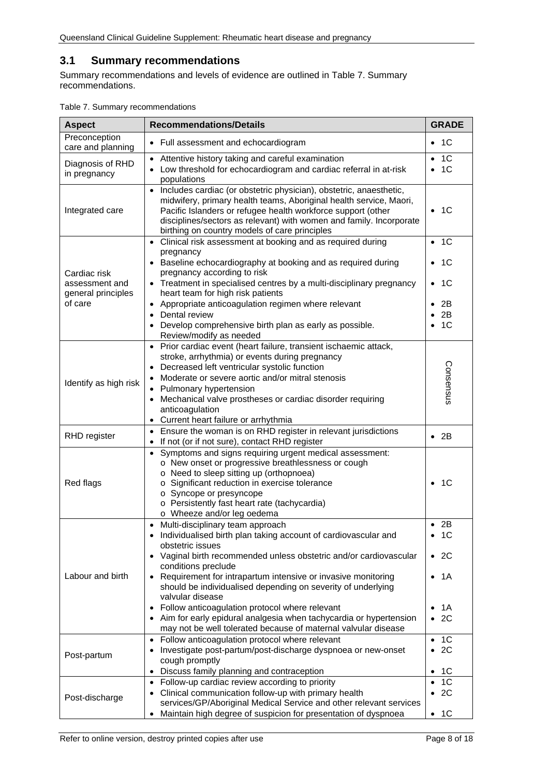## <span id="page-7-0"></span>**3.1 Summary recommendations**

Summary recommendations and levels of evidence are outlined in Table 7. [Summary](#page-7-1)  [recommendations.](#page-7-1)

<span id="page-7-1"></span>

| Table 7. Summary recommendations |  |
|----------------------------------|--|
|----------------------------------|--|

| <b>Aspect</b>                                                   | <b>Recommendations/Details</b><br><b>GRADE</b>                                                                                                                                                                                                                                                                                                                                                                                                                                                                                                                                                                         |                                                                  |
|-----------------------------------------------------------------|------------------------------------------------------------------------------------------------------------------------------------------------------------------------------------------------------------------------------------------------------------------------------------------------------------------------------------------------------------------------------------------------------------------------------------------------------------------------------------------------------------------------------------------------------------------------------------------------------------------------|------------------------------------------------------------------|
| Preconception<br>care and planning                              | • Full assessment and echocardiogram                                                                                                                                                                                                                                                                                                                                                                                                                                                                                                                                                                                   | 1C<br>٠                                                          |
| Diagnosis of RHD<br>in pregnancy                                | Attentive history taking and careful examination<br>$\bullet$<br>Low threshold for echocardiogram and cardiac referral in at-risk<br>$\bullet$<br>populations                                                                                                                                                                                                                                                                                                                                                                                                                                                          | 1 <sup>C</sup><br>1 <sup>C</sup>                                 |
| Integrated care                                                 | Includes cardiac (or obstetric physician), obstetric, anaesthetic,<br>$\bullet$<br>midwifery, primary health teams, Aboriginal health service, Maori,<br>Pacific Islanders or refugee health workforce support (other<br>disciplines/sectors as relevant) with women and family. Incorporate<br>birthing on country models of care principles                                                                                                                                                                                                                                                                          | - 1C<br>$\bullet$                                                |
| Cardiac risk<br>assessment and<br>general principles<br>of care | Clinical risk assessment at booking and as required during<br>$\bullet$<br>pregnancy<br>Baseline echocardiography at booking and as required during<br>pregnancy according to risk<br>• Treatment in specialised centres by a multi-disciplinary pregnancy<br>heart team for high risk patients<br>Appropriate anticoagulation regimen where relevant<br>$\bullet$<br>Dental review<br>$\bullet$                                                                                                                                                                                                                       | -1C<br>$\bullet$<br>-1C<br>-1C<br>$\bullet$<br>2B<br>2B          |
|                                                                 | Develop comprehensive birth plan as early as possible.<br>Review/modify as needed                                                                                                                                                                                                                                                                                                                                                                                                                                                                                                                                      | 1C                                                               |
| Identify as high risk                                           | Prior cardiac event (heart failure, transient ischaemic attack,<br>$\bullet$<br>stroke, arrhythmia) or events during pregnancy<br>Decreased left ventricular systolic function<br>Moderate or severe aortic and/or mitral stenosis<br>• Pulmonary hypertension<br>Mechanical valve prostheses or cardiac disorder requiring<br>٠<br>anticoagulation<br>• Current heart failure or arrhythmia                                                                                                                                                                                                                           | Consensus                                                        |
| <b>RHD</b> register                                             | • Ensure the woman is on RHD register in relevant jurisdictions<br>If not (or if not sure), contact RHD register<br>$\bullet$                                                                                                                                                                                                                                                                                                                                                                                                                                                                                          | 2B<br>$\bullet$                                                  |
| Red flags                                                       | Symptoms and signs requiring urgent medical assessment:<br>$\bullet$<br>o New onset or progressive breathlessness or cough<br>o Need to sleep sitting up (orthopnoea)<br>o Significant reduction in exercise tolerance<br>o Syncope or presyncope<br>o Persistently fast heart rate (tachycardia)<br>o Wheeze and/or leg oedema                                                                                                                                                                                                                                                                                        | -1C                                                              |
| Labour and birth                                                | • Multi-disciplinary team approach<br>Individualised birth plan taking account of cardiovascular and<br>$\bullet$<br>obstetric issues<br>• Vaginal birth recommended unless obstetric and/or cardiovascular<br>conditions preclude<br>Requirement for intrapartum intensive or invasive monitoring<br>$\bullet$<br>should be individualised depending on severity of underlying<br>valvular disease<br>Follow anticoagulation protocol where relevant<br>$\bullet$<br>Aim for early epidural analgesia when tachycardia or hypertension<br>$\bullet$<br>may not be well tolerated because of maternal valvular disease | $\bullet$ 2B<br>- 1C<br>٠<br>- 2C<br>- 1 A<br>1A<br>2C           |
| Post-partum                                                     | Follow anticoagulation protocol where relevant<br>$\bullet$<br>Investigate post-partum/post-discharge dyspnoea or new-onset<br>٠<br>cough promptly<br>Discuss family planning and contraception<br>$\bullet$                                                                                                                                                                                                                                                                                                                                                                                                           | 1 <sup>C</sup><br>$\bullet$<br>2C<br>$\bullet$<br>1C<br>٠        |
| Post-discharge                                                  | Follow-up cardiac review according to priority<br>$\bullet$<br>Clinical communication follow-up with primary health<br>٠<br>services/GP/Aboriginal Medical Service and other relevant services<br>Maintain high degree of suspicion for presentation of dyspnoea<br>٠                                                                                                                                                                                                                                                                                                                                                  | 1 <sup>C</sup><br>2C<br>$\bullet$<br>1 <sup>C</sup><br>$\bullet$ |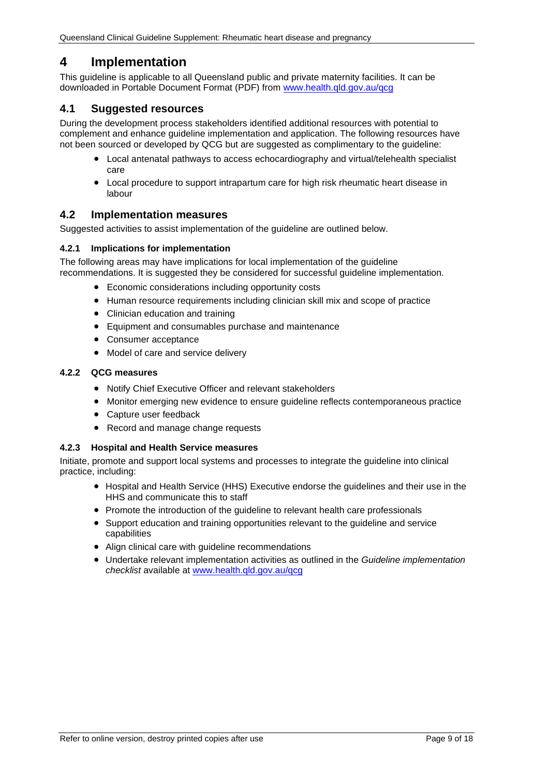## <span id="page-8-0"></span>**4 Implementation**

This guideline is applicable to all Queensland public and private maternity facilities. It can be downloaded in Portable Document Format (PDF) from [www.health.qld.gov.au/qcg](http://www.health.qld.gov.au/qcg)

## <span id="page-8-1"></span>**4.1 Suggested resources**

During the development process stakeholders identified additional resources with potential to complement and enhance guideline implementation and application. The following resources have not been sourced or developed by QCG but are suggested as complimentary to the guideline:

- Local antenatal pathways to access echocardiography and virtual/telehealth specialist care
- Local procedure to support intrapartum care for high risk rheumatic heart disease in labour

## <span id="page-8-2"></span>**4.2 Implementation measures**

Suggested activities to assist implementation of the guideline are outlined below.

#### <span id="page-8-3"></span>**4.2.1 Implications for implementation**

The following areas may have implications for local implementation of the guideline recommendations. It is suggested they be considered for successful guideline implementation.

- Economic considerations including opportunity costs
- Human resource requirements including clinician skill mix and scope of practice
- Clinician education and training
- Equipment and consumables purchase and maintenance
- Consumer acceptance
- Model of care and service delivery

#### <span id="page-8-4"></span>**4.2.2 QCG measures**

- Notify Chief Executive Officer and relevant stakeholders
- Monitor emerging new evidence to ensure guideline reflects contemporaneous practice
- Capture user feedback
- Record and manage change requests

#### <span id="page-8-5"></span>**4.2.3 Hospital and Health Service measures**

Initiate, promote and support local systems and processes to integrate the guideline into clinical practice, including:

- Hospital and Health Service (HHS) Executive endorse the guidelines and their use in the HHS and communicate this to staff
- Promote the introduction of the guideline to relevant health care professionals
- Support education and training opportunities relevant to the guideline and service capabilities
- Align clinical care with guideline recommendations
- Undertake relevant implementation activities as outlined in the *Guideline implementation checklist* available at [www.health.qld.gov.au/qcg](http://www.health.qld.gov.au/qcg)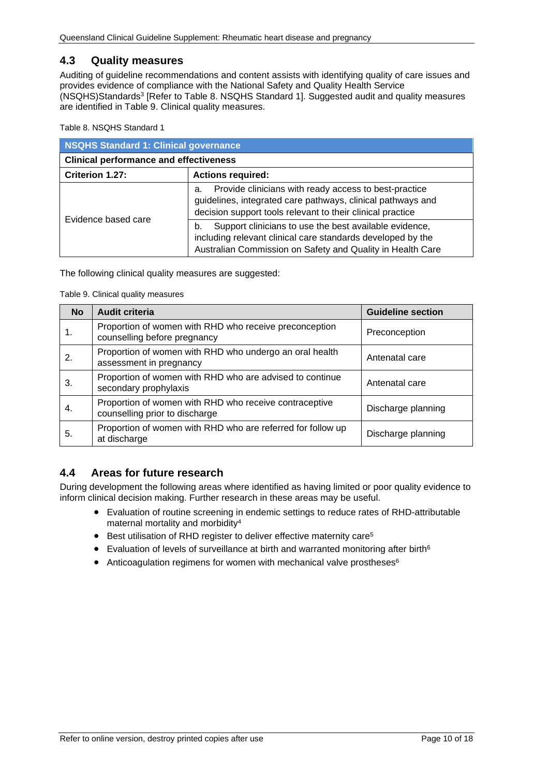## <span id="page-9-0"></span>**4.3 Quality measures**

Auditing of guideline recommendations and content assists with identifying quality of care issues and provides evidence of compliance with the National Safety and Quality Health Service (NSQHS)Standards3 [Refer to Table 8. [NSQHS Standard 1\]](#page-9-2). Suggested audit and quality measures are identified in Table 9. [Clinical quality measures.](#page-9-3)

<span id="page-9-2"></span>Table 8. NSQHS Standard 1

| NSQHS Standard 1: Clinical governance         |                                                                                                                                                                                           |  |
|-----------------------------------------------|-------------------------------------------------------------------------------------------------------------------------------------------------------------------------------------------|--|
| <b>Clinical performance and effectiveness</b> |                                                                                                                                                                                           |  |
| Criterion 1.27:                               | <b>Actions required:</b>                                                                                                                                                                  |  |
|                                               | Provide clinicians with ready access to best-practice<br>a.<br>guidelines, integrated care pathways, clinical pathways and<br>decision support tools relevant to their clinical practice  |  |
| Evidence based care                           | Support clinicians to use the best available evidence,<br>b.<br>including relevant clinical care standards developed by the<br>Australian Commission on Safety and Quality in Health Care |  |

<span id="page-9-3"></span>The following clinical quality measures are suggested:

#### Table 9. Clinical quality measures

| <b>No</b> | <b>Audit criteria</b>                                                                    | <b>Guideline section</b> |
|-----------|------------------------------------------------------------------------------------------|--------------------------|
| 1.        | Proportion of women with RHD who receive preconception<br>counselling before pregnancy   | Preconception            |
| 2.        | Proportion of women with RHD who undergo an oral health<br>assessment in pregnancy       | Antenatal care           |
| 3.        | Proportion of women with RHD who are advised to continue<br>secondary prophylaxis        | Antenatal care           |
| 4.        | Proportion of women with RHD who receive contraceptive<br>counselling prior to discharge | Discharge planning       |
| 5.        | Proportion of women with RHD who are referred for follow up<br>at discharge              | Discharge planning       |

#### <span id="page-9-1"></span>**4.4 Areas for future research**

During development the following areas where identified as having limited or poor quality evidence to inform clinical decision making. Further research in these areas may be useful.

- Evaluation of routine screening in endemic settings to reduce rates of RHD-attributable maternal mortality and morbidity4
- Best utilisation of RHD register to deliver effective maternity care<sup>5</sup>
- Evaluation of levels of surveillance at birth and warranted monitoring after birth<sup>6</sup>
- Anticoagulation regimens for women with mechanical valve prostheses<sup>6</sup>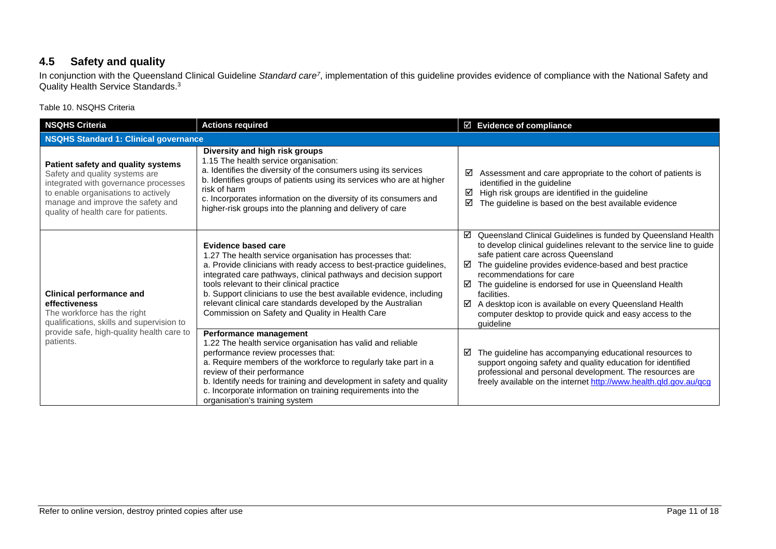## **4.5 Safety and quality**

In conjunction with the Queensland Clinical Guideline *Standard care7*, implementation of this guideline provides evidence of compliance with the National Safety and Quality Health Service Standards.<sup>3</sup>

Table 10. NSQHS Criteria

<span id="page-10-1"></span><span id="page-10-0"></span>

| <b>NSQHS Criteria</b>                                                                                                                                                                                                            | <b>Actions required</b>                                                                                                                                                                                                                                                                                                                                                                                                                                                   | $\boxtimes$ Evidence of compliance                                                                                                                                                                                                                                                                                                                                                                                                                                                                  |  |
|----------------------------------------------------------------------------------------------------------------------------------------------------------------------------------------------------------------------------------|---------------------------------------------------------------------------------------------------------------------------------------------------------------------------------------------------------------------------------------------------------------------------------------------------------------------------------------------------------------------------------------------------------------------------------------------------------------------------|-----------------------------------------------------------------------------------------------------------------------------------------------------------------------------------------------------------------------------------------------------------------------------------------------------------------------------------------------------------------------------------------------------------------------------------------------------------------------------------------------------|--|
| <b>NSQHS Standard 1: Clinical governance</b>                                                                                                                                                                                     |                                                                                                                                                                                                                                                                                                                                                                                                                                                                           |                                                                                                                                                                                                                                                                                                                                                                                                                                                                                                     |  |
| Patient safety and quality systems<br>Safety and quality systems are<br>integrated with governance processes<br>to enable organisations to actively<br>manage and improve the safety and<br>quality of health care for patients. | Diversity and high risk groups<br>1.15 The health service organisation:<br>a. Identifies the diversity of the consumers using its services<br>b. Identifies groups of patients using its services who are at higher<br>risk of harm<br>c. Incorporates information on the diversity of its consumers and<br>higher-risk groups into the planning and delivery of care                                                                                                     | ☑<br>Assessment and care appropriate to the cohort of patients is<br>identified in the guideline<br>☑<br>High risk groups are identified in the guideline<br>☑<br>The guideline is based on the best available evidence                                                                                                                                                                                                                                                                             |  |
| <b>Clinical performance and</b><br>effectiveness<br>The workforce has the right<br>qualifications, skills and supervision to<br>provide safe, high-quality health care to<br>patients.                                           | <b>Evidence based care</b><br>1.27 The health service organisation has processes that:<br>a. Provide clinicians with ready access to best-practice guidelines,<br>integrated care pathways, clinical pathways and decision support<br>tools relevant to their clinical practice<br>b. Support clinicians to use the best available evidence, including<br>relevant clinical care standards developed by the Australian<br>Commission on Safety and Quality in Health Care | Queensland Clinical Guidelines is funded by Queensland Health<br>☑<br>to develop clinical guidelines relevant to the service line to guide<br>safe patient care across Queensland<br>The guideline provides evidence-based and best practice<br>☑<br>recommendations for care<br>☑<br>The guideline is endorsed for use in Queensland Health<br>facilities.<br>A desktop icon is available on every Queensland Health<br>☑<br>computer desktop to provide quick and easy access to the<br>guideline |  |
|                                                                                                                                                                                                                                  | Performance management<br>1.22 The health service organisation has valid and reliable<br>performance review processes that:<br>a. Require members of the workforce to regularly take part in a<br>review of their performance<br>b. Identify needs for training and development in safety and quality<br>c. Incorporate information on training requirements into the<br>organisation's training system                                                                   | The guideline has accompanying educational resources to<br>⊻<br>support ongoing safety and quality education for identified<br>professional and personal development. The resources are<br>freely available on the internet http://www.health.qld.gov.au/qcg                                                                                                                                                                                                                                        |  |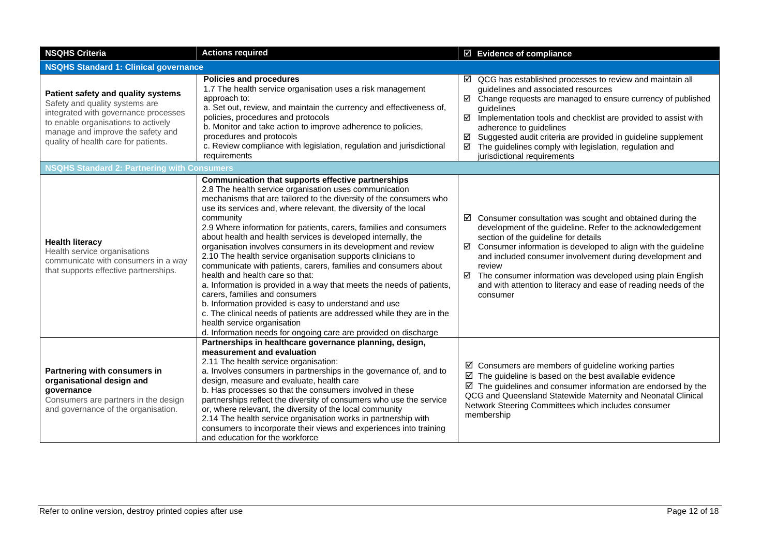| <b>NSQHS Criteria</b>                                                                                                                                                                                                            | <b>Actions required</b>                                                                                                                                                                                                                                                                                                                                                                                                                                                                                                                                                                                                                                                                                                                                                                                                                                                                                                                                                                         | ☑ Evidence of compliance                                                                                                                                                                                                                                                                                                                                                                                                                                                     |  |  |
|----------------------------------------------------------------------------------------------------------------------------------------------------------------------------------------------------------------------------------|-------------------------------------------------------------------------------------------------------------------------------------------------------------------------------------------------------------------------------------------------------------------------------------------------------------------------------------------------------------------------------------------------------------------------------------------------------------------------------------------------------------------------------------------------------------------------------------------------------------------------------------------------------------------------------------------------------------------------------------------------------------------------------------------------------------------------------------------------------------------------------------------------------------------------------------------------------------------------------------------------|------------------------------------------------------------------------------------------------------------------------------------------------------------------------------------------------------------------------------------------------------------------------------------------------------------------------------------------------------------------------------------------------------------------------------------------------------------------------------|--|--|
|                                                                                                                                                                                                                                  | <b>NSQHS Standard 1: Clinical governance</b>                                                                                                                                                                                                                                                                                                                                                                                                                                                                                                                                                                                                                                                                                                                                                                                                                                                                                                                                                    |                                                                                                                                                                                                                                                                                                                                                                                                                                                                              |  |  |
| Patient safety and quality systems<br>Safety and quality systems are<br>integrated with governance processes<br>to enable organisations to actively<br>manage and improve the safety and<br>quality of health care for patients. | <b>Policies and procedures</b><br>1.7 The health service organisation uses a risk management<br>approach to:<br>a. Set out, review, and maintain the currency and effectiveness of,<br>policies, procedures and protocols<br>b. Monitor and take action to improve adherence to policies,<br>procedures and protocols<br>c. Review compliance with legislation, regulation and jurisdictional<br>requirements                                                                                                                                                                                                                                                                                                                                                                                                                                                                                                                                                                                   | $\boxtimes$ QCG has established processes to review and maintain all<br>guidelines and associated resources<br>Change requests are managed to ensure currency of published<br>☑<br>quidelines<br>☑<br>Implementation tools and checklist are provided to assist with<br>adherence to guidelines<br>Suggested audit criteria are provided in guideline supplement<br>☑<br>The guidelines comply with legislation, regulation and<br>☑<br>jurisdictional requirements          |  |  |
| <b>NSQHS Standard 2: Partnering with Consumers</b>                                                                                                                                                                               |                                                                                                                                                                                                                                                                                                                                                                                                                                                                                                                                                                                                                                                                                                                                                                                                                                                                                                                                                                                                 |                                                                                                                                                                                                                                                                                                                                                                                                                                                                              |  |  |
| <b>Health literacy</b><br>Health service organisations<br>communicate with consumers in a way<br>that supports effective partnerships.                                                                                           | Communication that supports effective partnerships<br>2.8 The health service organisation uses communication<br>mechanisms that are tailored to the diversity of the consumers who<br>use its services and, where relevant, the diversity of the local<br>community<br>2.9 Where information for patients, carers, families and consumers<br>about health and health services is developed internally, the<br>organisation involves consumers in its development and review<br>2.10 The health service organisation supports clinicians to<br>communicate with patients, carers, families and consumers about<br>health and health care so that:<br>a. Information is provided in a way that meets the needs of patients,<br>carers, families and consumers<br>b. Information provided is easy to understand and use<br>c. The clinical needs of patients are addressed while they are in the<br>health service organisation<br>d. Information needs for ongoing care are provided on discharge | $\boxtimes$ Consumer consultation was sought and obtained during the<br>development of the guideline. Refer to the acknowledgement<br>section of the guideline for details<br>$\boxtimes$ Consumer information is developed to align with the guideline<br>and included consumer involvement during development and<br>review<br>☑ The consumer information was developed using plain English<br>and with attention to literacy and ease of reading needs of the<br>consumer |  |  |
| Partnering with consumers in<br>organisational design and<br>governance<br>Consumers are partners in the design<br>and governance of the organisation.                                                                           | Partnerships in healthcare governance planning, design,<br>measurement and evaluation<br>2.11 The health service organisation:<br>a. Involves consumers in partnerships in the governance of, and to<br>design, measure and evaluate, health care<br>b. Has processes so that the consumers involved in these<br>partnerships reflect the diversity of consumers who use the service<br>or, where relevant, the diversity of the local community<br>2.14 The health service organisation works in partnership with<br>consumers to incorporate their views and experiences into training<br>and education for the workforce                                                                                                                                                                                                                                                                                                                                                                     | $\boxtimes$ Consumers are members of guideline working parties<br>$\boxtimes$ The guideline is based on the best available evidence<br>$\boxtimes$ The guidelines and consumer information are endorsed by the<br>QCG and Queensland Statewide Maternity and Neonatal Clinical<br>Network Steering Committees which includes consumer<br>membership                                                                                                                          |  |  |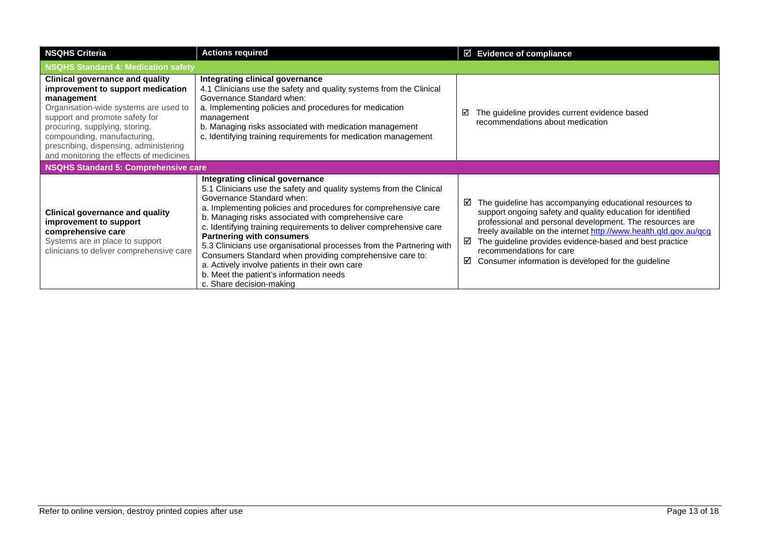| <b>NSQHS Criteria</b>                                                                                                                                                                                                                                                                                                      | <b>Actions required</b>                                                                                                                                                                                                                                                                                                                                                                                                                                                                                                                                                                                                              | $\boxtimes$ Evidence of compliance                                                                                                                                                                                                                                                                                                                                                                                   |  |
|----------------------------------------------------------------------------------------------------------------------------------------------------------------------------------------------------------------------------------------------------------------------------------------------------------------------------|--------------------------------------------------------------------------------------------------------------------------------------------------------------------------------------------------------------------------------------------------------------------------------------------------------------------------------------------------------------------------------------------------------------------------------------------------------------------------------------------------------------------------------------------------------------------------------------------------------------------------------------|----------------------------------------------------------------------------------------------------------------------------------------------------------------------------------------------------------------------------------------------------------------------------------------------------------------------------------------------------------------------------------------------------------------------|--|
| <b>NSQHS Standard 4: Medication safety</b>                                                                                                                                                                                                                                                                                 |                                                                                                                                                                                                                                                                                                                                                                                                                                                                                                                                                                                                                                      |                                                                                                                                                                                                                                                                                                                                                                                                                      |  |
| <b>Clinical governance and quality</b><br>improvement to support medication<br>management<br>Organisation-wide systems are used to<br>support and promote safety for<br>procuring, supplying, storing,<br>compounding, manufacturing,<br>prescribing, dispensing, administering<br>and monitoring the effects of medicines | Integrating clinical governance<br>4.1 Clinicians use the safety and quality systems from the Clinical<br>Governance Standard when:<br>a. Implementing policies and procedures for medication<br>management<br>b. Managing risks associated with medication management<br>c. Identifying training requirements for medication management                                                                                                                                                                                                                                                                                             | The guideline provides current evidence based<br>☑<br>recommendations about medication                                                                                                                                                                                                                                                                                                                               |  |
| <b>NSQHS Standard 5: Comprehensive care</b>                                                                                                                                                                                                                                                                                |                                                                                                                                                                                                                                                                                                                                                                                                                                                                                                                                                                                                                                      |                                                                                                                                                                                                                                                                                                                                                                                                                      |  |
| <b>Clinical governance and quality</b><br>improvement to support<br>comprehensive care<br>Systems are in place to support<br>clinicians to deliver comprehensive care                                                                                                                                                      | Integrating clinical governance<br>5.1 Clinicians use the safety and quality systems from the Clinical<br>Governance Standard when:<br>a. Implementing policies and procedures for comprehensive care<br>b. Managing risks associated with comprehensive care<br>c. Identifying training requirements to deliver comprehensive care<br><b>Partnering with consumers</b><br>5.3 Clinicians use organisational processes from the Partnering with<br>Consumers Standard when providing comprehensive care to:<br>a. Actively involve patients in their own care<br>b. Meet the patient's information needs<br>c. Share decision-making | The guideline has accompanying educational resources to<br>☑<br>support ongoing safety and quality education for identified<br>professional and personal development. The resources are<br>freely available on the internet http://www.health.qld.gov.au/qcg<br>The guideline provides evidence-based and best practice<br>☑<br>recommendations for care<br>☑<br>Consumer information is developed for the guideline |  |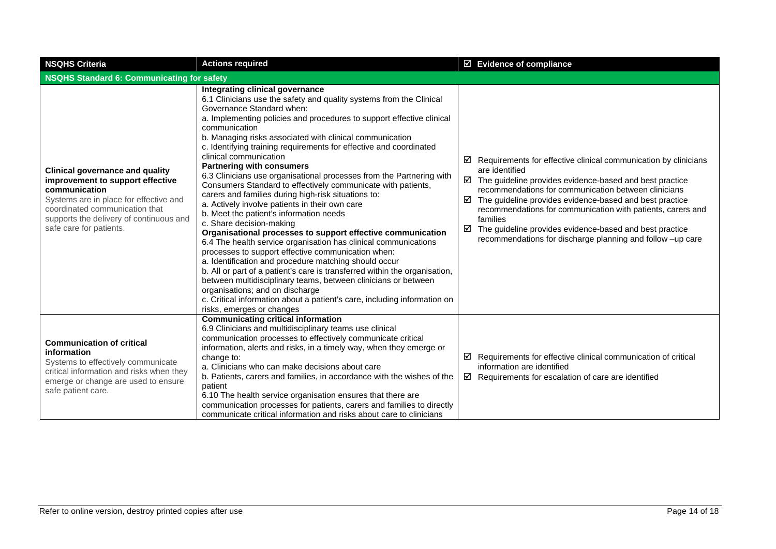| <b>NSQHS Criteria</b>                                                                                                                                                                                                                         | <b>Actions required</b>                                                                                                                                                                                                                                                                                                                                                                                                                                                                                                                                                                                                                                                                                                                                                                                                                                                                                                                                                                                                                                                                                                                                                                                                                                                                            | $\boxtimes$ Evidence of compliance                                                                                                                                                                                                                                                                                                                                                                                                                                                                    |  |
|-----------------------------------------------------------------------------------------------------------------------------------------------------------------------------------------------------------------------------------------------|----------------------------------------------------------------------------------------------------------------------------------------------------------------------------------------------------------------------------------------------------------------------------------------------------------------------------------------------------------------------------------------------------------------------------------------------------------------------------------------------------------------------------------------------------------------------------------------------------------------------------------------------------------------------------------------------------------------------------------------------------------------------------------------------------------------------------------------------------------------------------------------------------------------------------------------------------------------------------------------------------------------------------------------------------------------------------------------------------------------------------------------------------------------------------------------------------------------------------------------------------------------------------------------------------|-------------------------------------------------------------------------------------------------------------------------------------------------------------------------------------------------------------------------------------------------------------------------------------------------------------------------------------------------------------------------------------------------------------------------------------------------------------------------------------------------------|--|
| <b>NSQHS Standard 6: Communicating for safety</b>                                                                                                                                                                                             |                                                                                                                                                                                                                                                                                                                                                                                                                                                                                                                                                                                                                                                                                                                                                                                                                                                                                                                                                                                                                                                                                                                                                                                                                                                                                                    |                                                                                                                                                                                                                                                                                                                                                                                                                                                                                                       |  |
| <b>Clinical governance and quality</b><br>improvement to support effective<br>communication<br>Systems are in place for effective and<br>coordinated communication that<br>supports the delivery of continuous and<br>safe care for patients. | Integrating clinical governance<br>6.1 Clinicians use the safety and quality systems from the Clinical<br>Governance Standard when:<br>a. Implementing policies and procedures to support effective clinical<br>communication<br>b. Managing risks associated with clinical communication<br>c. Identifying training requirements for effective and coordinated<br>clinical communication<br><b>Partnering with consumers</b><br>6.3 Clinicians use organisational processes from the Partnering with<br>Consumers Standard to effectively communicate with patients,<br>carers and families during high-risk situations to:<br>a. Actively involve patients in their own care<br>b. Meet the patient's information needs<br>c. Share decision-making<br>Organisational processes to support effective communication<br>6.4 The health service organisation has clinical communications<br>processes to support effective communication when:<br>a. Identification and procedure matching should occur<br>b. All or part of a patient's care is transferred within the organisation,<br>between multidisciplinary teams, between clinicians or between<br>organisations; and on discharge<br>c. Critical information about a patient's care, including information on<br>risks, emerges or changes | $\boxtimes$ Requirements for effective clinical communication by clinicians<br>are identified<br>$\boxtimes$ The guideline provides evidence-based and best practice<br>recommendations for communication between clinicians<br>☑<br>The guideline provides evidence-based and best practice<br>recommendations for communication with patients, carers and<br>families<br>☑<br>The guideline provides evidence-based and best practice<br>recommendations for discharge planning and follow -up care |  |
| <b>Communication of critical</b><br>information<br>Systems to effectively communicate<br>critical information and risks when they<br>emerge or change are used to ensure<br>safe patient care.                                                | <b>Communicating critical information</b><br>6.9 Clinicians and multidisciplinary teams use clinical<br>communication processes to effectively communicate critical<br>information, alerts and risks, in a timely way, when they emerge or<br>change to:<br>a. Clinicians who can make decisions about care<br>b. Patients, carers and families, in accordance with the wishes of the<br>patient<br>6.10 The health service organisation ensures that there are<br>communication processes for patients, carers and families to directly<br>communicate critical information and risks about care to clinicians                                                                                                                                                                                                                                                                                                                                                                                                                                                                                                                                                                                                                                                                                    | $\boxtimes$ Requirements for effective clinical communication of critical<br>information are identified<br>$\boxtimes$ Requirements for escalation of care are identified                                                                                                                                                                                                                                                                                                                             |  |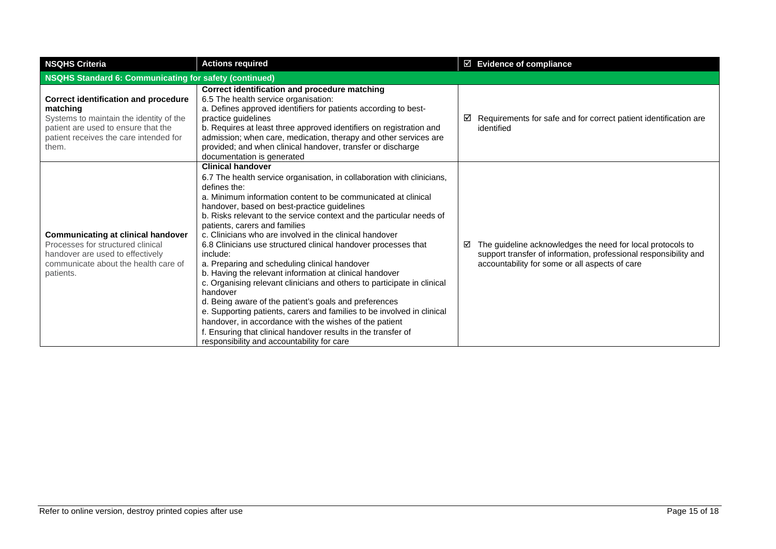| <b>NSQHS Criteria</b>                                                                                                                                                                        | <b>Actions required</b>                                                                                                                                                                                                                                                                                                                                                                                                                                                                                                                                                                                                                                                                                                                                                                                                                                                                                                                                                                             | $\boxtimes$ Evidence of compliance                                                                                                                                                    |  |  |
|----------------------------------------------------------------------------------------------------------------------------------------------------------------------------------------------|-----------------------------------------------------------------------------------------------------------------------------------------------------------------------------------------------------------------------------------------------------------------------------------------------------------------------------------------------------------------------------------------------------------------------------------------------------------------------------------------------------------------------------------------------------------------------------------------------------------------------------------------------------------------------------------------------------------------------------------------------------------------------------------------------------------------------------------------------------------------------------------------------------------------------------------------------------------------------------------------------------|---------------------------------------------------------------------------------------------------------------------------------------------------------------------------------------|--|--|
|                                                                                                                                                                                              | <b>NSQHS Standard 6: Communicating for safety (continued)</b>                                                                                                                                                                                                                                                                                                                                                                                                                                                                                                                                                                                                                                                                                                                                                                                                                                                                                                                                       |                                                                                                                                                                                       |  |  |
| <b>Correct identification and procedure</b><br>matching<br>Systems to maintain the identity of the<br>patient are used to ensure that the<br>patient receives the care intended for<br>them. | Correct identification and procedure matching<br>6.5 The health service organisation:<br>a. Defines approved identifiers for patients according to best-<br>practice guidelines<br>b. Requires at least three approved identifiers on registration and<br>admission; when care, medication, therapy and other services are<br>provided; and when clinical handover, transfer or discharge<br>documentation is generated                                                                                                                                                                                                                                                                                                                                                                                                                                                                                                                                                                             | Requirements for safe and for correct patient identification are<br>☑<br>identified                                                                                                   |  |  |
| <b>Communicating at clinical handover</b><br>Processes for structured clinical<br>handover are used to effectively<br>communicate about the health care of<br>patients.                      | <b>Clinical handover</b><br>6.7 The health service organisation, in collaboration with clinicians,<br>defines the:<br>a. Minimum information content to be communicated at clinical<br>handover, based on best-practice guidelines<br>b. Risks relevant to the service context and the particular needs of<br>patients, carers and families<br>c. Clinicians who are involved in the clinical handover<br>6.8 Clinicians use structured clinical handover processes that<br>include:<br>a. Preparing and scheduling clinical handover<br>b. Having the relevant information at clinical handover<br>c. Organising relevant clinicians and others to participate in clinical<br>handover<br>d. Being aware of the patient's goals and preferences<br>e. Supporting patients, carers and families to be involved in clinical<br>handover, in accordance with the wishes of the patient<br>f. Ensuring that clinical handover results in the transfer of<br>responsibility and accountability for care | The guideline acknowledges the need for local protocols to<br>☑<br>support transfer of information, professional responsibility and<br>accountability for some or all aspects of care |  |  |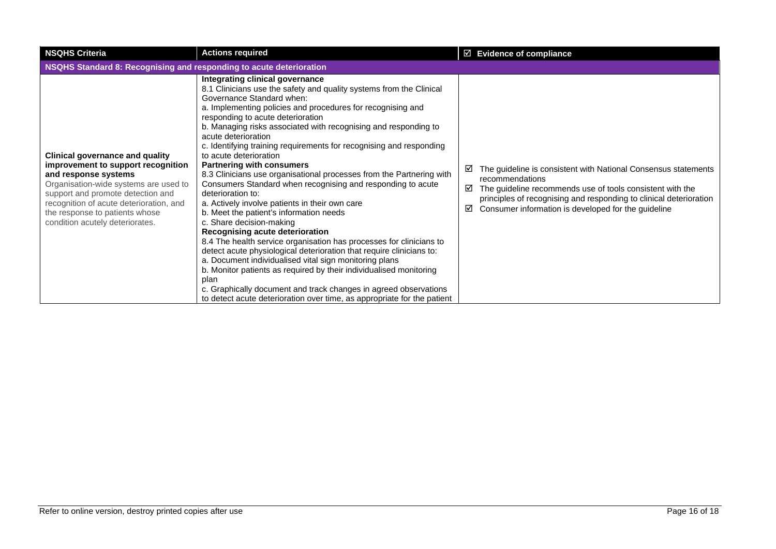| <b>NSQHS Criteria</b>                                                                                                                                                                                                                                                                              | <b>Actions required</b>                                                                                                                                                                                                                                                                                                                                                                                                                                                                                                                                                                                                                                                                                                                                                                                                                                                                                                                                                                                                                                                                                                                                                                                                              | $\boxtimes$ Evidence of compliance                                                                                                                                                                                                                                                         |  |  |
|----------------------------------------------------------------------------------------------------------------------------------------------------------------------------------------------------------------------------------------------------------------------------------------------------|--------------------------------------------------------------------------------------------------------------------------------------------------------------------------------------------------------------------------------------------------------------------------------------------------------------------------------------------------------------------------------------------------------------------------------------------------------------------------------------------------------------------------------------------------------------------------------------------------------------------------------------------------------------------------------------------------------------------------------------------------------------------------------------------------------------------------------------------------------------------------------------------------------------------------------------------------------------------------------------------------------------------------------------------------------------------------------------------------------------------------------------------------------------------------------------------------------------------------------------|--------------------------------------------------------------------------------------------------------------------------------------------------------------------------------------------------------------------------------------------------------------------------------------------|--|--|
|                                                                                                                                                                                                                                                                                                    | NSQHS Standard 8: Recognising and responding to acute deterioration                                                                                                                                                                                                                                                                                                                                                                                                                                                                                                                                                                                                                                                                                                                                                                                                                                                                                                                                                                                                                                                                                                                                                                  |                                                                                                                                                                                                                                                                                            |  |  |
| <b>Clinical governance and quality</b><br>improvement to support recognition<br>and response systems<br>Organisation-wide systems are used to<br>support and promote detection and<br>recognition of acute deterioration, and<br>the response to patients whose<br>condition acutely deteriorates. | Integrating clinical governance<br>8.1 Clinicians use the safety and quality systems from the Clinical<br>Governance Standard when:<br>a. Implementing policies and procedures for recognising and<br>responding to acute deterioration<br>b. Managing risks associated with recognising and responding to<br>acute deterioration<br>c. Identifying training requirements for recognising and responding<br>to acute deterioration<br><b>Partnering with consumers</b><br>8.3 Clinicians use organisational processes from the Partnering with<br>Consumers Standard when recognising and responding to acute<br>deterioration to:<br>a. Actively involve patients in their own care<br>b. Meet the patient's information needs<br>c. Share decision-making<br>Recognising acute deterioration<br>8.4 The health service organisation has processes for clinicians to<br>detect acute physiological deterioration that require clinicians to:<br>a. Document individualised vital sign monitoring plans<br>b. Monitor patients as required by their individualised monitoring<br>plan<br>c. Graphically document and track changes in agreed observations<br>to detect acute deterioration over time, as appropriate for the patient | The guideline is consistent with National Consensus statements<br>☑<br>recommendations<br>The guideline recommends use of tools consistent with the<br>☑<br>principles of recognising and responding to clinical deterioration<br>Consumer information is developed for the guideline<br>☑ |  |  |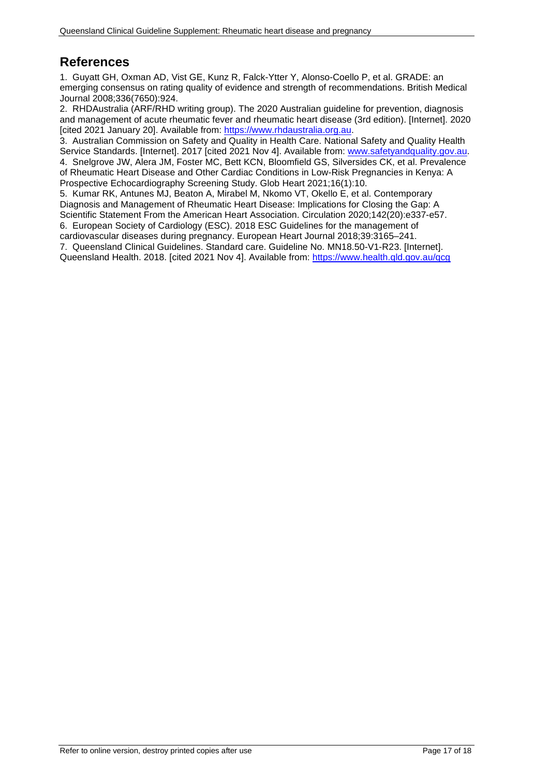# <span id="page-16-0"></span>**References**

1. Guyatt GH, Oxman AD, Vist GE, Kunz R, Falck-Ytter Y, Alonso-Coello P, et al. GRADE: an emerging consensus on rating quality of evidence and strength of recommendations. British Medical Journal 2008;336(7650):924.

2. RHDAustralia (ARF/RHD writing group). The 2020 Australian guideline for prevention, diagnosis and management of acute rheumatic fever and rheumatic heart disease (3rd edition). [Internet]. 2020 [cited 2021 January 20]. Available from: [https://www.rhdaustralia.org.au.](https://www.rhdaustralia.org.au/)

3. Australian Commission on Safety and Quality in Health Care. National Safety and Quality Health Service Standards. [Internet]. 2017 [cited 2021 Nov 4]. Available from: www.safetyandquality.gov.au. 4. Snelgrove JW, Alera JM, Foster MC, Bett KCN, Bloomfield GS, Silversides CK, et al. Prevalence of Rheumatic Heart Disease and Other Cardiac Conditions in Low-Risk Pregnancies in Kenya: A Prospective Echocardiography Screening Study. Glob Heart 2021;16(1):10.

5. Kumar RK, Antunes MJ, Beaton A, Mirabel M, Nkomo VT, Okello E, et al. Contemporary Diagnosis and Management of Rheumatic Heart Disease: Implications for Closing the Gap: A Scientific Statement From the American Heart Association. Circulation 2020;142(20):e337-e57. 6. European Society of Cardiology (ESC). 2018 ESC Guidelines for the management of

cardiovascular diseases during pregnancy. European Heart Journal 2018;39:3165–241.

7. Queensland Clinical Guidelines. Standard care. Guideline No. MN18.50-V1-R23. [Internet].

Queensland Health. 2018. [cited 2021 Nov 4]. Available from:<https://www.health.qld.gov.au/qcg>